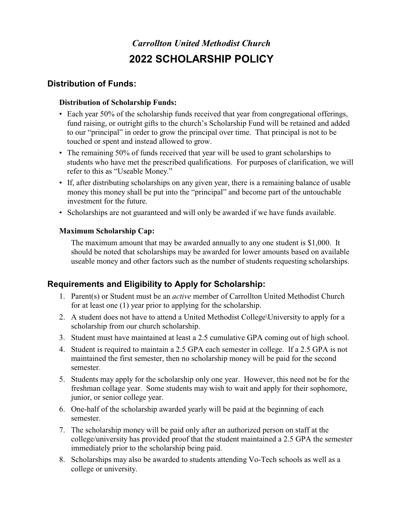# *Carrollton United Methodist Church* **2022 SCHOLARSHIP POLICY**

## **Distribution of Funds:**

#### **Distribution of Scholarship Funds:**

- Each year 50% of the scholarship funds received that year from congregational offerings, fund raising, or outright gifts to the church's Scholarship Fund will be retained and added to our "principal" in order to grow the principal over time. That principal is not to be touched or spent and instead allowed to grow.
- The remaining 50% of funds received that year will be used to grant scholarships to students who have met the prescribed qualifications. For purposes of clarification, we will refer to this as "Useable Money."
- If, after distributing scholarships on any given year, there is a remaining balance of usable money this money shall be put into the "principal" and become part of the untouchable investment for the future.
- Scholarships are not guaranteed and will only be awarded if we have funds available.

### **Maximum Scholarship Cap:**

The maximum amount that may be awarded annually to any one student is \$1,000. It should be noted that scholarships may be awarded for lower amounts based on available useable money and other factors such as the number of students requesting scholarships.

# **Requirements and Eligibility to Apply for Scholarship:**

- 1. Parent(s) or Student must be an *active* member of Carrollton United Methodist Church for at least one (1) year prior to applying for the scholarship.
- 2. A student does not have to attend a United Methodist College\University to apply for a scholarship from our church scholarship.
- 3. Student must have maintained at least a 2.5 cumulative GPA coming out of high school.
- 4. Student is required to maintain a 2.5 GPA each semester in college. If a 2.5 GPA is not maintained the first semester, then no scholarship money will be paid for the second semester.
- 5. Students may apply for the scholarship only one year. However, this need not be for the freshman collage year. Some students may wish to wait and apply for their sophomore, junior, or senior college year.
- 6. One-half of the scholarship awarded yearly will be paid at the beginning of each semester.
- 7. The scholarship money will be paid only after an authorized person on staff at the college/university has provided proof that the student maintained a 2.5 GPA the semester immediately prior to the scholarship being paid.
- 8. Scholarships may also be awarded to students attending Vo-Tech schools as well as a college or university.